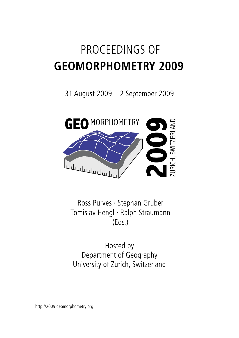# PROCEEDINGS OF **GEOMORPHOMETRY 2009**

31 August 2009 - 2 September 2009



Ross Purves · Stephan Gruber Tomislav Hengl · Ralph Straumann  $(Eds.)$ 

Hosted by Department of Geography University of Zurich, Switzerland

http://2009.geomorphometry.org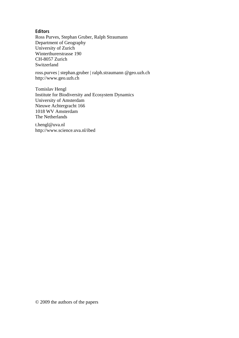### **Editors**

Ross Purves, Stephan Gruber, Ralph Straumann Department of Geography University of Zurich Winterthurerstrasse 190 CH-8057 Zurich Switzerland

ross.purves | stephan.gruber | ralph.straumann @geo.uzh.ch http://www.geo.uzh.ch

Tomislav Hengl Institute for Biodiversity and Ecosystem Dynamics University of Amsterdam Nieuwe Achtergracht 166 1018 WV Amsterdam The Netherlands

t.hengl@uva.nl http://www.science.uva.nl/ibed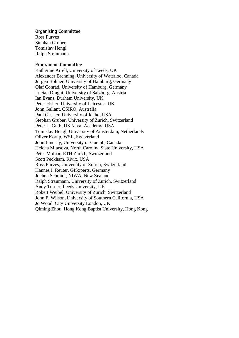#### **Organising Committee**

Ross Purves Stephan Gruber Tomislav Hengl Ralph Straumann

#### **Programme Committee**

Katherine Arrell, University of Leeds, UK Alexander Brenning, University of Waterloo, Canada Jürgen Böhner, University of Hamburg, Germany Olaf Conrad, University of Hamburg, Germany Lucian Dragut, University of Salzburg, Austria Ian Evans, Durham University, UK Peter Fisher, University of Leicester, UK John Gallant, CSIRO, Australia Paul Gessler, University of Idaho, USA Stephan Gruber, University of Zurich, Switzerland Peter L. Guth, US Naval Academy, USA Tomislav Hengl, University of Amsterdam, Netherlands Oliver Korup, WSL, Switzerland John Lindsay, University of Guelph, Canada Helena Mitasova, North Carolina State University, USA Peter Molnar, ETH Zurich, Switzerland Scott Peckham, Rivix, USA Ross Purves, University of Zurich, Switzerland Hannes I. Reuter, GISxperts, Germany Jochen Schmidt, NIWA, New Zealand Ralph Straumann, University of Zurich, Switzerland Andy Turner, Leeds University, UK Robert Weibel, University of Zurich, Switzerland John P. Wilson, University of Southern California, USA Jo Wood, City University London, UK Qiming Zhou, Hong Kong Baptist University, Hong Kong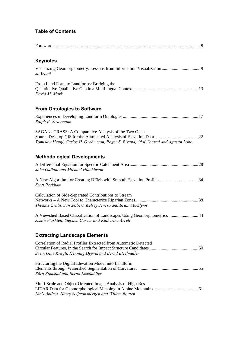## **Table of Contents**

| <b>Keynotes</b>                                                                                                                            |
|--------------------------------------------------------------------------------------------------------------------------------------------|
| Jo Wood                                                                                                                                    |
| From Land Form to Landforms: Bridging the<br>David M. Mark                                                                                 |
| <b>From Ontologies to Software</b>                                                                                                         |
| Ralph K. Straumann                                                                                                                         |
| SAGA vs GRASS: A Comparative Analysis of the Two Open<br>Tomislav Hengl, Carlos H. Grohmman, Roger S. Bivand, Olaf Conrad and Agustin Lobo |
| <b>Methodological Developments</b>                                                                                                         |
| John Gallant and Michael Hutchinson                                                                                                        |
| A New Algorithm for Creating DEMs with Smooth Elevation Profiles34<br>Scott Peckham                                                        |
| Calculation of Side-Separated Contributions to Stream<br>Thomas Grabs, Jan Seibert, Kelsey Jencso and Brian McGlynn                        |
| A Viewshed Based Classification of Landscapes Using Geomorphometrics 44<br>Justin Washtell, Stephen Carver and Katherine Arrell            |
| <b>Extracting Landscape Elements</b>                                                                                                       |
| Correlation of Radial Profiles Extracted from Automatic Detected<br>Svein Olav Krøgli, Henning Dypvik and Bernd Etzelmüller                |
| Structuring the Digital Elevation Model into Landform<br>Bård Romstad and Bernd Etzelmüller                                                |
| Multi-Scale and Object-Oriented Image Analysis of High-Res<br>Niels Anders, Harry Seijmonsbergen and Willem Bouten                         |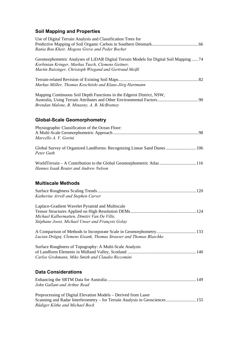# **Soil Mapping and Properties**

| Use of Digital Terrain Analysis and Classification Trees for<br>Rania Bou Kheir, Mogens Greve and Peder Bocher                                                                                      |
|-----------------------------------------------------------------------------------------------------------------------------------------------------------------------------------------------------|
| Geomorphometric Analyses of LiDAR Digital Terrain Models for Digital Soil Mapping 74<br>Korbinian Kringer, Markus Tusch, Clemens Geitner,<br>Martin Rutzinger, Christoph Wiegand and Gertraud Meißl |
| Markus Möller, Thomas Koschitzki and Klaus-Jörg Hartmann                                                                                                                                            |
| Mapping Continuous Soil Depth Functions in the Edgeroi District, NSW,<br>Brendan Malone, B. Minasny, A. B. McBratney                                                                                |
| <b>Global-Scale Geomorphometry</b>                                                                                                                                                                  |
| Physiographic Classification of the Ocean Floor:<br>Marcello A. V. Gorini                                                                                                                           |
| Global Survey of Organized Landforms: Recognizing Linear Sand Dunes  106<br>Peter Guth                                                                                                              |
| WorldTerrain - A Contribution to the Global Geomorphometric Atlas 116<br>Hannes Isaak Reuter and Andrew Nelson                                                                                      |
| <b>Multiscale Methods</b>                                                                                                                                                                           |
| Katherine Arrell and Stephen Carver                                                                                                                                                                 |
| Laplace-Gradient Wavelet Pyramid and Multiscale<br>Michael Kalbermatten, Dimitri Van De Ville,<br>Stéphane Joost, Michael Unser and François Golay                                                  |
| Lucian Drăguț, Clemens Eisank, Thomas Strasser and Thomas Blaschke                                                                                                                                  |
| Surface Roughness of Topography: A Multi-Scale Analysis<br>Carlos Grohmann, Mike Smith and Claudio Riccomini                                                                                        |
| <b>Data Considerations</b>                                                                                                                                                                          |
| John Gallant and Arthur Read                                                                                                                                                                        |
| Preprocessing of Digital Elevation Models – Derived from Laser<br>Scanning and Radar Interferometry – for Terrain Analysis in Geosciences  155<br>Rüdiger Köthe and Michael Bock                    |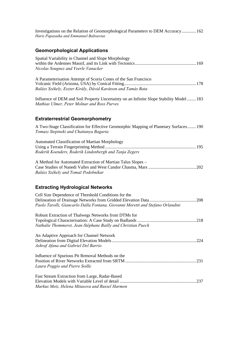Investigations on the Relation of Geomorphological Parameters to DEM Accuracy.............162 *Haris Papasaika and Emmanuel Baltsavias*

## **Geomorphological Applications**

| Fast Stream Extraction from Large, Radar-Based |  |
|------------------------------------------------|--|
|                                                |  |
| Markus Metz, Helena Mitasova and Russel Harmon |  |